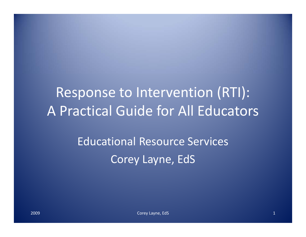Response to Intervention (RTI): A Practical Guide for All Educators

> Educational Resource Services Corey Layne, EdS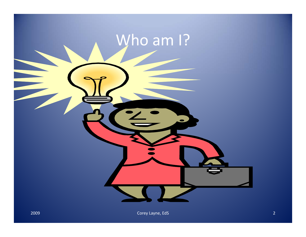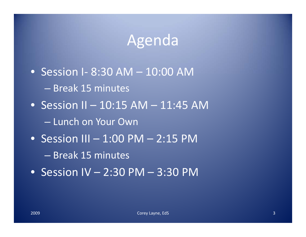# Agenda

• Session I‐ 8:30 AM – 10:00 AM – Break 15 minutes  $\bullet~$  Session II – 10:15 AM – 11:45 AM – Lunch on Your Own • Session III – 1:00 PM – 2:15 PM – Break 15 minutes • Session IV – 2:30 PM – 3:30 PM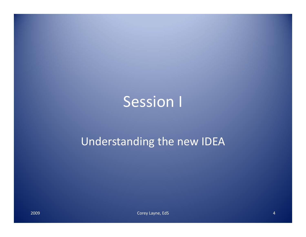# Session I

#### Understanding the new IDEA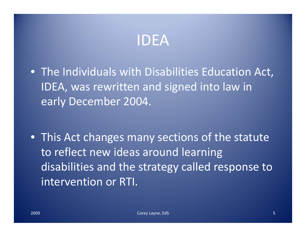### IDEA

- The Individuals with Disabilities Education Act, IDEA, was rewritten and signed into law in early December 2004.
- This Act changes many sections of the statute to reflect new ideas around learning disabilities and the strategy called response to intervention or RTI.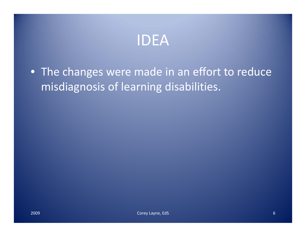

• The changes were made in an effort to reduce misdiagnosis of learning disabilities.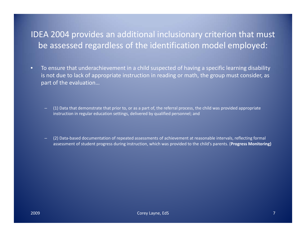#### IDEA 2004 provides an additional inclusionary criterion that must be assessed regardless of the identification model employed:

- • To ensure that underachievement in <sup>a</sup> child suspected of having <sup>a</sup> specific learning disability is not due to lack of appropriate instruction in reading or math, the group must consider, as part of the evaluation…
	- (1) Data that demonstrate that prior to, or as <sup>a</sup> part of, the referral process, the child was provided appropriate instruction in regular education settings, delivered by qualified personnel; and
	- (2) Data‐based documentation of repeated assessments of achievement at reasonable intervals, reflecting formal assessment of student progress during instruction, which was provided to the child's parents. (**Progress Monitoring)**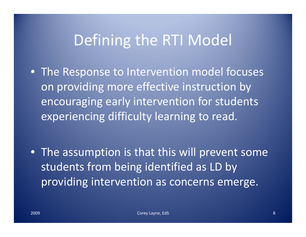# Defining the RTI Model

- The Response to Intervention model focuses on providing more effective instruction by encouraging early intervention for students experiencing difficulty learning to read.
- The assumption is that this will prevent some students from being identified as LD by providing intervention as concerns emerge.